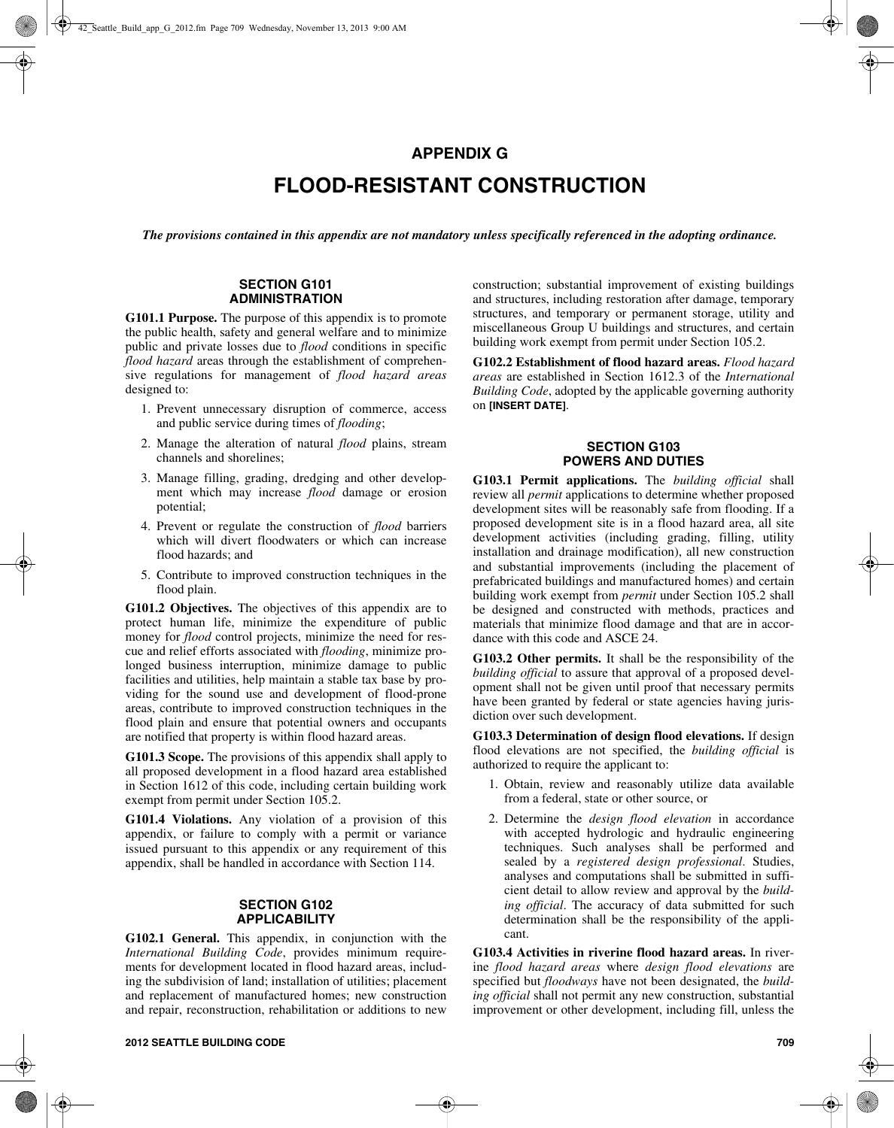## **APPENDIX G**

# **FLOOD-RESISTANT CONSTRUCTION**

*The provisions contained in this appendix are not mandatory unless specifically referenced in the adopting ordinance.*

#### **SECTION G101 ADMINISTRATION**

**G101.1 Purpose.** The purpose of this appendix is to promote the public health, safety and general welfare and to minimize public and private losses due to *flood* conditions in specific *flood hazard* areas through the establishment of comprehensive regulations for management of *flood hazard areas* designed to:

- 1. Prevent unnecessary disruption of commerce, access and public service during times of *flooding*;
- 2. Manage the alteration of natural *flood* plains, stream channels and shorelines;
- 3. Manage filling, grading, dredging and other development which may increase *flood* damage or erosion potential;
- 4. Prevent or regulate the construction of *flood* barriers which will divert floodwaters or which can increase flood hazards; and
- 5. Contribute to improved construction techniques in the flood plain.

**G101.2 Objectives.** The objectives of this appendix are to protect human life, minimize the expenditure of public money for *flood* control projects, minimize the need for rescue and relief efforts associated with *flooding*, minimize prolonged business interruption, minimize damage to public facilities and utilities, help maintain a stable tax base by providing for the sound use and development of flood-prone areas, contribute to improved construction techniques in the flood plain and ensure that potential owners and occupants are notified that property is within flood hazard areas.

**G101.3 Scope.** The provisions of this appendix shall apply to all proposed development in a flood hazard area established in Section 1612 of this code, including certain building work exempt from permit under Section 105.2.

**G101.4 Violations.** Any violation of a provision of this appendix, or failure to comply with a permit or variance issued pursuant to this appendix or any requirement of this appendix, shall be handled in accordance with Section 114.

#### **SECTION G102 APPLICABILITY**

**G102.1 General.** This appendix, in conjunction with the *International Building Code*, provides minimum requirements for development located in flood hazard areas, including the subdivision of land; installation of utilities; placement and replacement of manufactured homes; new construction and repair, reconstruction, rehabilitation or additions to new

construction; substantial improvement of existing buildings and structures, including restoration after damage, temporary structures, and temporary or permanent storage, utility and miscellaneous Group U buildings and structures, and certain building work exempt from permit under Section 105.2.

**G102.2 Establishment of flood hazard areas.** *Flood hazard areas* are established in Section 1612.3 of the *International Building Code*, adopted by the applicable governing authority on **[INSERT DATE]**.

#### **SECTION G103 POWERS AND DUTIES**

**G103.1 Permit applications.** The *building official* shall review all *permit* applications to determine whether proposed development sites will be reasonably safe from flooding. If a proposed development site is in a flood hazard area, all site development activities (including grading, filling, utility installation and drainage modification), all new construction and substantial improvements (including the placement of prefabricated buildings and manufactured homes) and certain building work exempt from *permit* under Section 105.2 shall be designed and constructed with methods, practices and materials that minimize flood damage and that are in accordance with this code and ASCE 24.

**G103.2 Other permits.** It shall be the responsibility of the *building official* to assure that approval of a proposed development shall not be given until proof that necessary permits have been granted by federal or state agencies having jurisdiction over such development.

**G103.3 Determination of design flood elevations.** If design flood elevations are not specified, the *building official* is authorized to require the applicant to:

- 1. Obtain, review and reasonably utilize data available from a federal, state or other source, or
- 2. Determine the *design flood elevation* in accordance with accepted hydrologic and hydraulic engineering techniques. Such analyses shall be performed and sealed by a *registered design professional*. Studies, analyses and computations shall be submitted in sufficient detail to allow review and approval by the *building official*. The accuracy of data submitted for such determination shall be the responsibility of the applicant.

**G103.4 Activities in riverine flood hazard areas.** In riverine *flood hazard areas* where *design flood elevations* are specified but *floodways* have not been designated, the *building official* shall not permit any new construction, substantial improvement or other development, including fill, unless the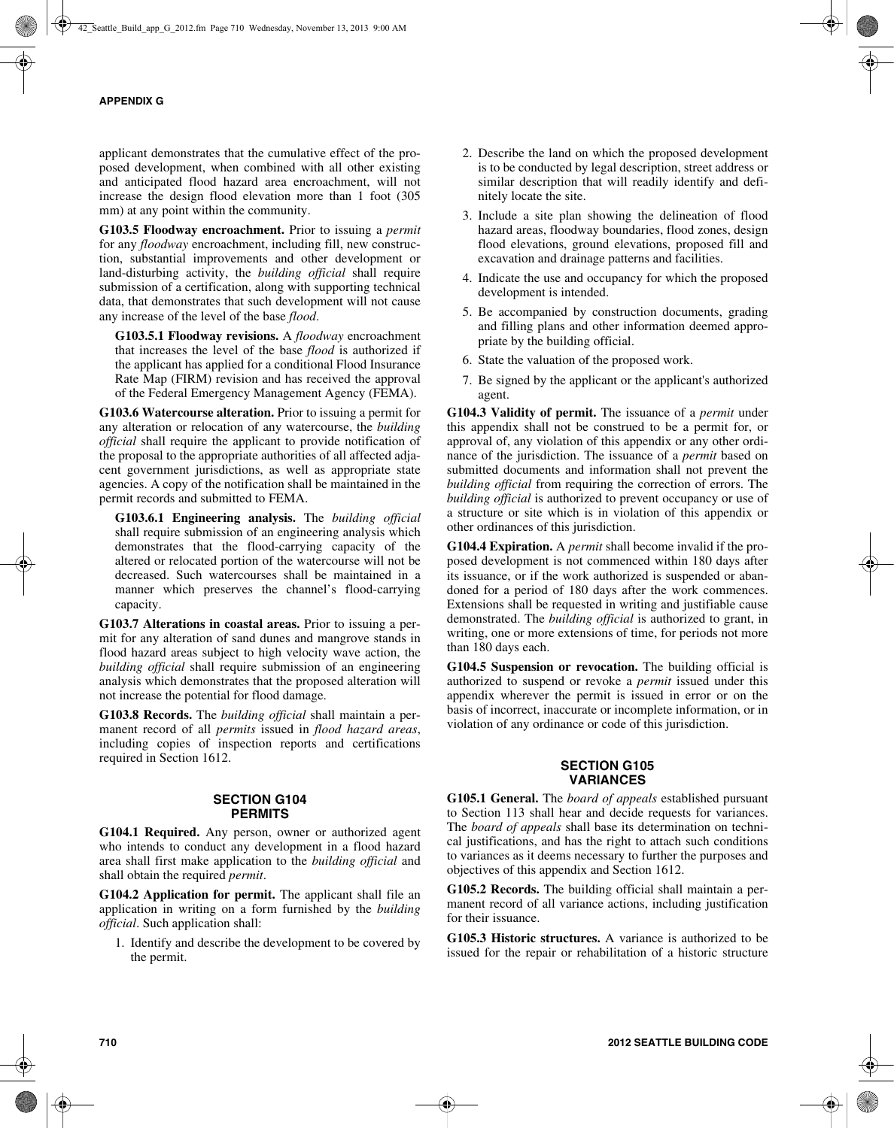applicant demonstrates that the cumulative effect of the proposed development, when combined with all other existing and anticipated flood hazard area encroachment, will not increase the design flood elevation more than 1 foot (305 mm) at any point within the community.

**G103.5 Floodway encroachment.** Prior to issuing a *permit* for any *floodway* encroachment, including fill, new construction, substantial improvements and other development or land-disturbing activity, the *building official* shall require submission of a certification, along with supporting technical data, that demonstrates that such development will not cause any increase of the level of the base *flood*.

**G103.5.1 Floodway revisions.** A *floodway* encroachment that increases the level of the base *flood* is authorized if the applicant has applied for a conditional Flood Insurance Rate Map (FIRM) revision and has received the approval of the Federal Emergency Management Agency (FEMA).

**G103.6 Watercourse alteration.** Prior to issuing a permit for any alteration or relocation of any watercourse, the *building official* shall require the applicant to provide notification of the proposal to the appropriate authorities of all affected adjacent government jurisdictions, as well as appropriate state agencies. A copy of the notification shall be maintained in the permit records and submitted to FEMA.

**G103.6.1 Engineering analysis.** The *building official* shall require submission of an engineering analysis which demonstrates that the flood-carrying capacity of the altered or relocated portion of the watercourse will not be decreased. Such watercourses shall be maintained in a manner which preserves the channel's flood-carrying capacity.

**G103.7 Alterations in coastal areas.** Prior to issuing a permit for any alteration of sand dunes and mangrove stands in flood hazard areas subject to high velocity wave action, the *building official* shall require submission of an engineering analysis which demonstrates that the proposed alteration will not increase the potential for flood damage.

**G103.8 Records.** The *building official* shall maintain a permanent record of all *permits* issued in *flood hazard areas*, including copies of inspection reports and certifications required in Section 1612.

#### **SECTION G104 PERMITS**

**G104.1 Required.** Any person, owner or authorized agent who intends to conduct any development in a flood hazard area shall first make application to the *building official* and shall obtain the required *permit*.

**G104.2 Application for permit.** The applicant shall file an application in writing on a form furnished by the *building official*. Such application shall:

1. Identify and describe the development to be covered by the permit.

- 2. Describe the land on which the proposed development is to be conducted by legal description, street address or similar description that will readily identify and definitely locate the site.
- 3. Include a site plan showing the delineation of flood hazard areas, floodway boundaries, flood zones, design flood elevations, ground elevations, proposed fill and excavation and drainage patterns and facilities.
- 4. Indicate the use and occupancy for which the proposed development is intended.
- 5. Be accompanied by construction documents, grading and filling plans and other information deemed appropriate by the building official.
- 6. State the valuation of the proposed work.
- 7. Be signed by the applicant or the applicant's authorized agent.

**G104.3 Validity of permit.** The issuance of a *permit* under this appendix shall not be construed to be a permit for, or approval of, any violation of this appendix or any other ordinance of the jurisdiction. The issuance of a *permit* based on submitted documents and information shall not prevent the *building official* from requiring the correction of errors. The *building official* is authorized to prevent occupancy or use of a structure or site which is in violation of this appendix or other ordinances of this jurisdiction.

**G104.4 Expiration.** A *permit* shall become invalid if the proposed development is not commenced within 180 days after its issuance, or if the work authorized is suspended or abandoned for a period of 180 days after the work commences. Extensions shall be requested in writing and justifiable cause demonstrated. The *building official* is authorized to grant, in writing, one or more extensions of time, for periods not more than 180 days each.

**G104.5 Suspension or revocation.** The building official is authorized to suspend or revoke a *permit* issued under this appendix wherever the permit is issued in error or on the basis of incorrect, inaccurate or incomplete information, or in violation of any ordinance or code of this jurisdiction.

## **SECTION G105 VARIANCES**

**G105.1 General.** The *board of appeals* established pursuant to Section 113 shall hear and decide requests for variances. The *board of appeals* shall base its determination on technical justifications, and has the right to attach such conditions to variances as it deems necessary to further the purposes and objectives of this appendix and Section 1612.

**G105.2 Records.** The building official shall maintain a permanent record of all variance actions, including justification for their issuance.

**G105.3 Historic structures.** A variance is authorized to be issued for the repair or rehabilitation of a historic structure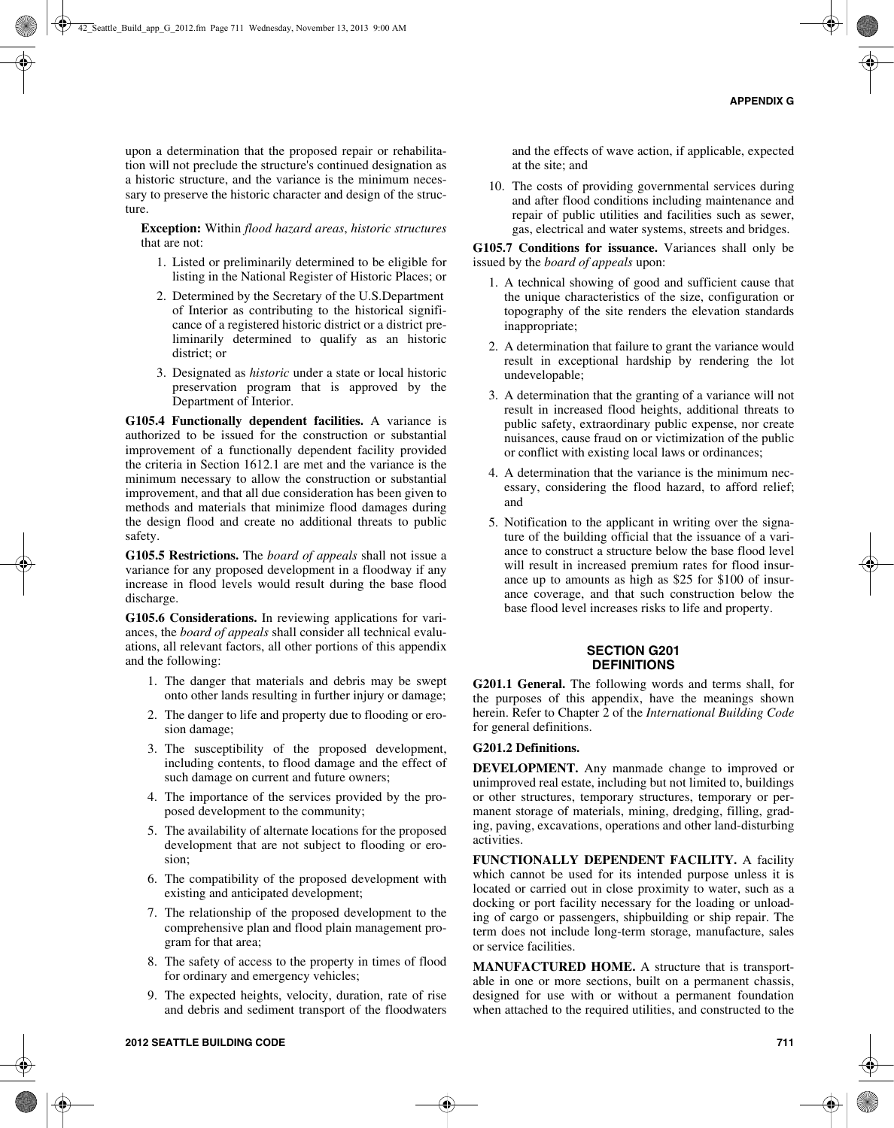upon a determination that the proposed repair or rehabilitation will not preclude the structure's continued designation as a historic structure, and the variance is the minimum necessary to preserve the historic character and design of the structure.

**Exception:** Within *flood hazard areas*, *historic structures* that are not:

- 1. Listed or preliminarily determined to be eligible for listing in the National Register of Historic Places; or
- 2. Determined by the Secretary of the U.S.Department of Interior as contributing to the historical significance of a registered historic district or a district preliminarily determined to qualify as an historic district; or
- 3. Designated as *historic* under a state or local historic preservation program that is approved by the Department of Interior.

**G105.4 Functionally dependent facilities.** A variance is authorized to be issued for the construction or substantial improvement of a functionally dependent facility provided the criteria in Section 1612.1 are met and the variance is the minimum necessary to allow the construction or substantial improvement, and that all due consideration has been given to methods and materials that minimize flood damages during the design flood and create no additional threats to public safety.

**G105.5 Restrictions.** The *board of appeals* shall not issue a variance for any proposed development in a floodway if any increase in flood levels would result during the base flood discharge.

**G105.6 Considerations.** In reviewing applications for variances, the *board of appeals* shall consider all technical evaluations, all relevant factors, all other portions of this appendix and the following:

- 1. The danger that materials and debris may be swept onto other lands resulting in further injury or damage;
- 2. The danger to life and property due to flooding or erosion damage;
- 3. The susceptibility of the proposed development, including contents, to flood damage and the effect of such damage on current and future owners;
- 4. The importance of the services provided by the proposed development to the community;
- 5. The availability of alternate locations for the proposed development that are not subject to flooding or erosion;
- 6. The compatibility of the proposed development with existing and anticipated development;
- 7. The relationship of the proposed development to the comprehensive plan and flood plain management program for that area;
- 8. The safety of access to the property in times of flood for ordinary and emergency vehicles;
- 9. The expected heights, velocity, duration, rate of rise and debris and sediment transport of the floodwaters

and the effects of wave action, if applicable, expected at the site; and

10. The costs of providing governmental services during and after flood conditions including maintenance and repair of public utilities and facilities such as sewer, gas, electrical and water systems, streets and bridges.

**G105.7 Conditions for issuance.** Variances shall only be issued by the *board of appeals* upon:

- 1. A technical showing of good and sufficient cause that the unique characteristics of the size, configuration or topography of the site renders the elevation standards inappropriate;
- 2. A determination that failure to grant the variance would result in exceptional hardship by rendering the lot undevelopable;
- 3. A determination that the granting of a variance will not result in increased flood heights, additional threats to public safety, extraordinary public expense, nor create nuisances, cause fraud on or victimization of the public or conflict with existing local laws or ordinances;
- 4. A determination that the variance is the minimum necessary, considering the flood hazard, to afford relief; and
- 5. Notification to the applicant in writing over the signature of the building official that the issuance of a variance to construct a structure below the base flood level will result in increased premium rates for flood insurance up to amounts as high as \$25 for \$100 of insurance coverage, and that such construction below the base flood level increases risks to life and property.

## **SECTION G201 DEFINITIONS**

**G201.1 General.** The following words and terms shall, for the purposes of this appendix, have the meanings shown herein. Refer to Chapter 2 of the *International Building Code* for general definitions.

#### **G201.2 Definitions.**

**DEVELOPMENT.** Any manmade change to improved or unimproved real estate, including but not limited to, buildings or other structures, temporary structures, temporary or permanent storage of materials, mining, dredging, filling, grading, paving, excavations, operations and other land-disturbing activities.

**FUNCTIONALLY DEPENDENT FACILITY.** A facility which cannot be used for its intended purpose unless it is located or carried out in close proximity to water, such as a docking or port facility necessary for the loading or unloading of cargo or passengers, shipbuilding or ship repair. The term does not include long-term storage, manufacture, sales or service facilities.

**MANUFACTURED HOME.** A structure that is transportable in one or more sections, built on a permanent chassis, designed for use with or without a permanent foundation when attached to the required utilities, and constructed to the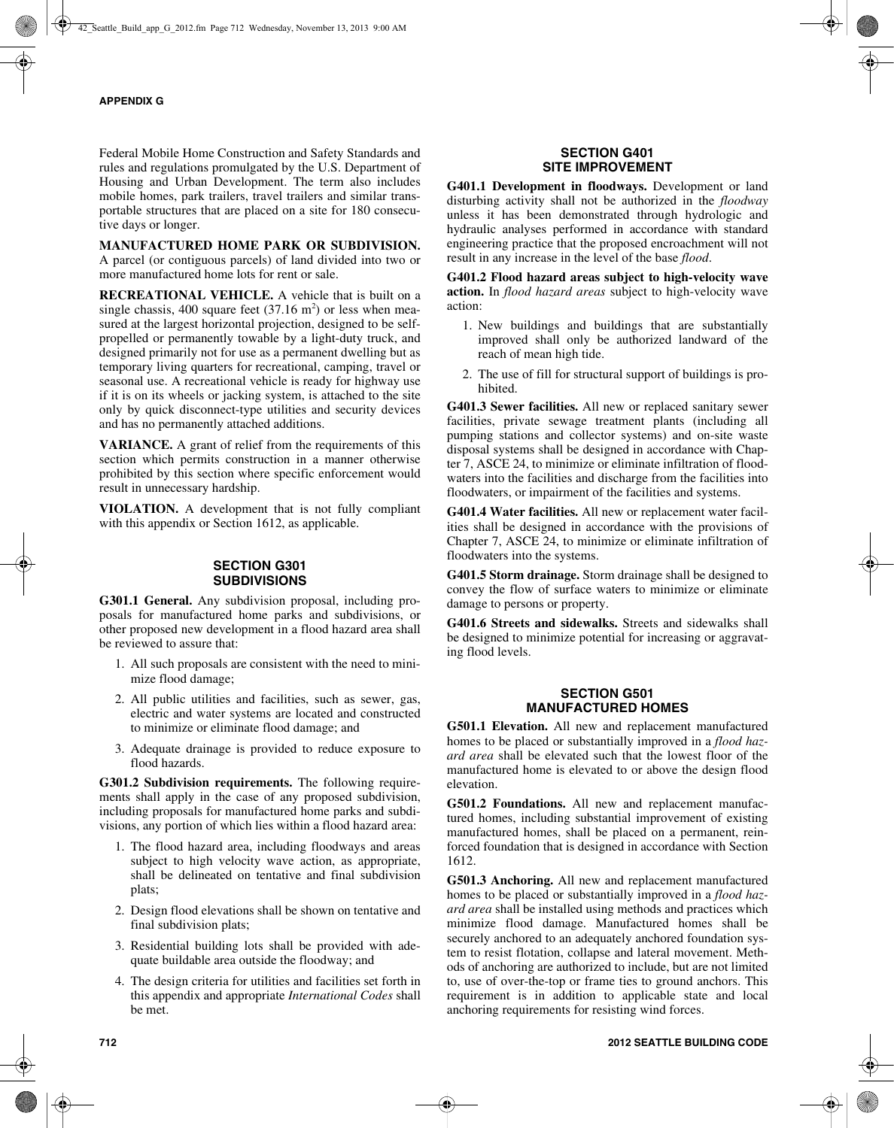Federal Mobile Home Construction and Safety Standards and rules and regulations promulgated by the U.S. Department of Housing and Urban Development. The term also includes mobile homes, park trailers, travel trailers and similar transportable structures that are placed on a site for 180 consecutive days or longer.

#### **MANUFACTURED HOME PARK OR SUBDIVISION.**

A parcel (or contiguous parcels) of land divided into two or more manufactured home lots for rent or sale.

**RECREATIONAL VEHICLE.** A vehicle that is built on a single chassis, 400 square feet  $(37.16 \text{ m}^2)$  or less when measured at the largest horizontal projection, designed to be selfpropelled or permanently towable by a light-duty truck, and designed primarily not for use as a permanent dwelling but as temporary living quarters for recreational, camping, travel or seasonal use. A recreational vehicle is ready for highway use if it is on its wheels or jacking system, is attached to the site only by quick disconnect-type utilities and security devices and has no permanently attached additions.

**VARIANCE.** A grant of relief from the requirements of this section which permits construction in a manner otherwise prohibited by this section where specific enforcement would result in unnecessary hardship.

**VIOLATION.** A development that is not fully compliant with this appendix or Section 1612, as applicable.

#### **SECTION G301 SUBDIVISIONS**

**G301.1 General.** Any subdivision proposal, including proposals for manufactured home parks and subdivisions, or other proposed new development in a flood hazard area shall be reviewed to assure that:

- 1. All such proposals are consistent with the need to minimize flood damage;
- 2. All public utilities and facilities, such as sewer, gas, electric and water systems are located and constructed to minimize or eliminate flood damage; and
- 3. Adequate drainage is provided to reduce exposure to flood hazards.

**G301.2 Subdivision requirements.** The following requirements shall apply in the case of any proposed subdivision, including proposals for manufactured home parks and subdivisions, any portion of which lies within a flood hazard area:

- 1. The flood hazard area, including floodways and areas subject to high velocity wave action, as appropriate, shall be delineated on tentative and final subdivision plats;
- 2. Design flood elevations shall be shown on tentative and final subdivision plats;
- 3. Residential building lots shall be provided with adequate buildable area outside the floodway; and
- 4. The design criteria for utilities and facilities set forth in this appendix and appropriate *International Codes* shall be met.

## **SECTION G401 SITE IMPROVEMENT**

**G401.1 Development in floodways.** Development or land disturbing activity shall not be authorized in the *floodway* unless it has been demonstrated through hydrologic and hydraulic analyses performed in accordance with standard engineering practice that the proposed encroachment will not result in any increase in the level of the base *flood*.

**G401.2 Flood hazard areas subject to high-velocity wave action.** In *flood hazard areas* subject to high-velocity wave action:

- 1. New buildings and buildings that are substantially improved shall only be authorized landward of the reach of mean high tide.
- 2. The use of fill for structural support of buildings is prohibited.

**G401.3 Sewer facilities.** All new or replaced sanitary sewer facilities, private sewage treatment plants (including all pumping stations and collector systems) and on-site waste disposal systems shall be designed in accordance with Chapter 7, ASCE 24, to minimize or eliminate infiltration of floodwaters into the facilities and discharge from the facilities into floodwaters, or impairment of the facilities and systems.

**G401.4 Water facilities.** All new or replacement water facilities shall be designed in accordance with the provisions of Chapter 7, ASCE 24, to minimize or eliminate infiltration of floodwaters into the systems.

**G401.5 Storm drainage.** Storm drainage shall be designed to convey the flow of surface waters to minimize or eliminate damage to persons or property.

**G401.6 Streets and sidewalks.** Streets and sidewalks shall be designed to minimize potential for increasing or aggravating flood levels.

## **SECTION G501 MANUFACTURED HOMES**

**G501.1 Elevation.** All new and replacement manufactured homes to be placed or substantially improved in a *flood hazard area* shall be elevated such that the lowest floor of the manufactured home is elevated to or above the design flood elevation.

**G501.2 Foundations.** All new and replacement manufactured homes, including substantial improvement of existing manufactured homes, shall be placed on a permanent, reinforced foundation that is designed in accordance with Section 1612.

**G501.3 Anchoring.** All new and replacement manufactured homes to be placed or substantially improved in a *flood hazard area* shall be installed using methods and practices which minimize flood damage. Manufactured homes shall be securely anchored to an adequately anchored foundation system to resist flotation, collapse and lateral movement. Methods of anchoring are authorized to include, but are not limited to, use of over-the-top or frame ties to ground anchors. This requirement is in addition to applicable state and local anchoring requirements for resisting wind forces.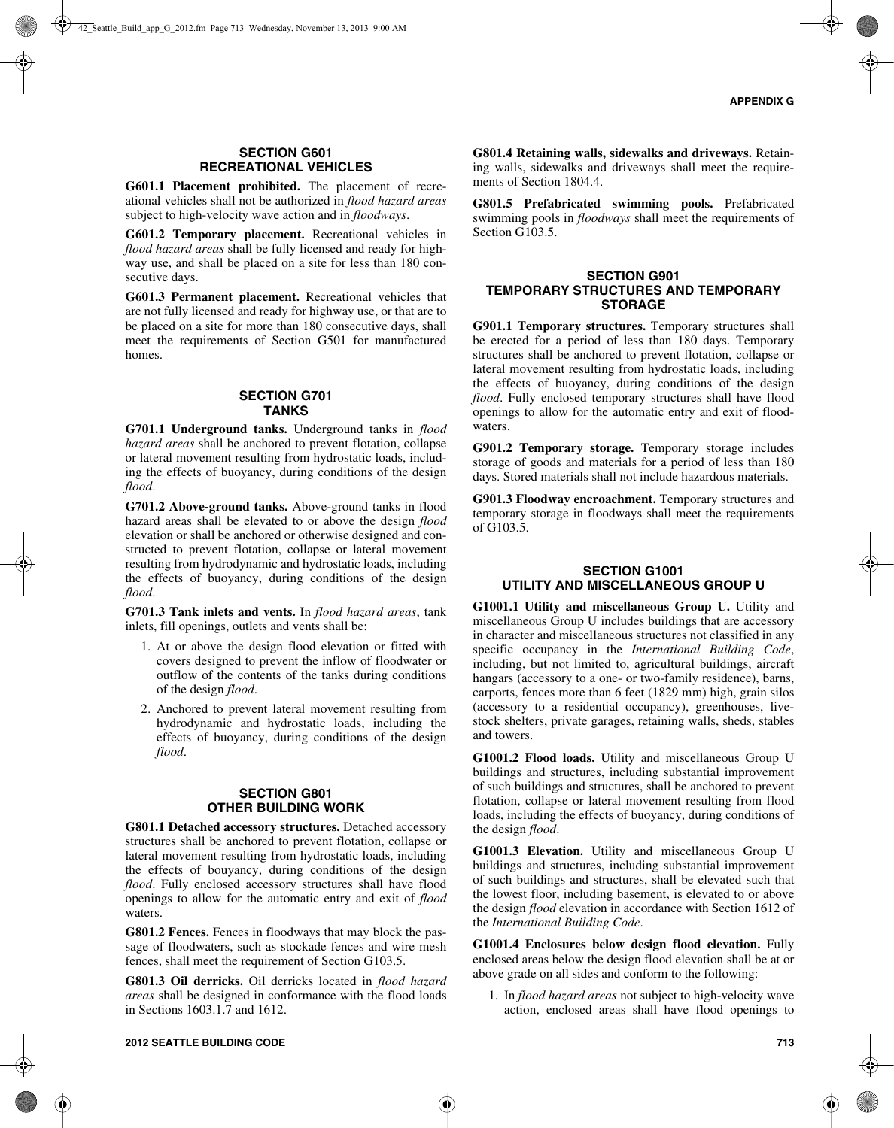## **SECTION G601 RECREATIONAL VEHICLES**

**G601.1 Placement prohibited.** The placement of recreational vehicles shall not be authorized in *flood hazard areas* subject to high-velocity wave action and in *floodways*.

**G601.2 Temporary placement.** Recreational vehicles in *flood hazard areas* shall be fully licensed and ready for highway use, and shall be placed on a site for less than 180 consecutive days.

**G601.3 Permanent placement.** Recreational vehicles that are not fully licensed and ready for highway use, or that are to be placed on a site for more than 180 consecutive days, shall meet the requirements of Section G501 for manufactured homes.

#### **SECTION G701 TANKS**

**G701.1 Underground tanks.** Underground tanks in *flood hazard areas* shall be anchored to prevent flotation, collapse or lateral movement resulting from hydrostatic loads, including the effects of buoyancy, during conditions of the design *flood*.

**G701.2 Above-ground tanks.** Above-ground tanks in flood hazard areas shall be elevated to or above the design *flood* elevation or shall be anchored or otherwise designed and constructed to prevent flotation, collapse or lateral movement resulting from hydrodynamic and hydrostatic loads, including the effects of buoyancy, during conditions of the design *flood*.

**G701.3 Tank inlets and vents.** In *flood hazard areas*, tank inlets, fill openings, outlets and vents shall be:

- 1. At or above the design flood elevation or fitted with covers designed to prevent the inflow of floodwater or outflow of the contents of the tanks during conditions of the design *flood*.
- 2. Anchored to prevent lateral movement resulting from hydrodynamic and hydrostatic loads, including the effects of buoyancy, during conditions of the design *flood*.

#### **SECTION G801 OTHER BUILDING WORK**

**G801.1 Detached accessory structures.** Detached accessory structures shall be anchored to prevent flotation, collapse or lateral movement resulting from hydrostatic loads, including the effects of bouyancy, during conditions of the design *flood*. Fully enclosed accessory structures shall have flood openings to allow for the automatic entry and exit of *flood* waters.

**G801.2 Fences.** Fences in floodways that may block the passage of floodwaters, such as stockade fences and wire mesh fences, shall meet the requirement of Section G103.5.

**G801.3 Oil derricks.** Oil derricks located in *flood hazard areas* shall be designed in conformance with the flood loads in Sections 1603.1.7 and 1612.

**G801.4 Retaining walls, sidewalks and driveways.** Retaining walls, sidewalks and driveways shall meet the requirements of Section 1804.4.

**G801.5 Prefabricated swimming pools.** Prefabricated swimming pools in *floodways* shall meet the requirements of Section G103.5.

#### **SECTION G901 TEMPORARY STRUCTURES AND TEMPORARY STORAGE**

**G901.1 Temporary structures.** Temporary structures shall be erected for a period of less than 180 days. Temporary structures shall be anchored to prevent flotation, collapse or lateral movement resulting from hydrostatic loads, including the effects of buoyancy, during conditions of the design *flood*. Fully enclosed temporary structures shall have flood openings to allow for the automatic entry and exit of floodwaters.

**G901.2 Temporary storage.** Temporary storage includes storage of goods and materials for a period of less than 180 days. Stored materials shall not include hazardous materials.

**G901.3 Floodway encroachment.** Temporary structures and temporary storage in floodways shall meet the requirements of G103.5.

#### **SECTION G1001 UTILITY AND MISCELLANEOUS GROUP U**

**G1001.1 Utility and miscellaneous Group U.** Utility and miscellaneous Group U includes buildings that are accessory in character and miscellaneous structures not classified in any specific occupancy in the *International Building Code*, including, but not limited to, agricultural buildings, aircraft hangars (accessory to a one- or two-family residence), barns, carports, fences more than 6 feet (1829 mm) high, grain silos (accessory to a residential occupancy), greenhouses, livestock shelters, private garages, retaining walls, sheds, stables and towers.

**G1001.2 Flood loads.** Utility and miscellaneous Group U buildings and structures, including substantial improvement of such buildings and structures, shall be anchored to prevent flotation, collapse or lateral movement resulting from flood loads, including the effects of buoyancy, during conditions of the design *flood*.

**G1001.3 Elevation.** Utility and miscellaneous Group U buildings and structures, including substantial improvement of such buildings and structures, shall be elevated such that the lowest floor, including basement, is elevated to or above the design *flood* elevation in accordance with Section 1612 of the *International Building Code*.

**G1001.4 Enclosures below design flood elevation.** Fully enclosed areas below the design flood elevation shall be at or above grade on all sides and conform to the following:

1. In *flood hazard areas* not subject to high-velocity wave action, enclosed areas shall have flood openings to